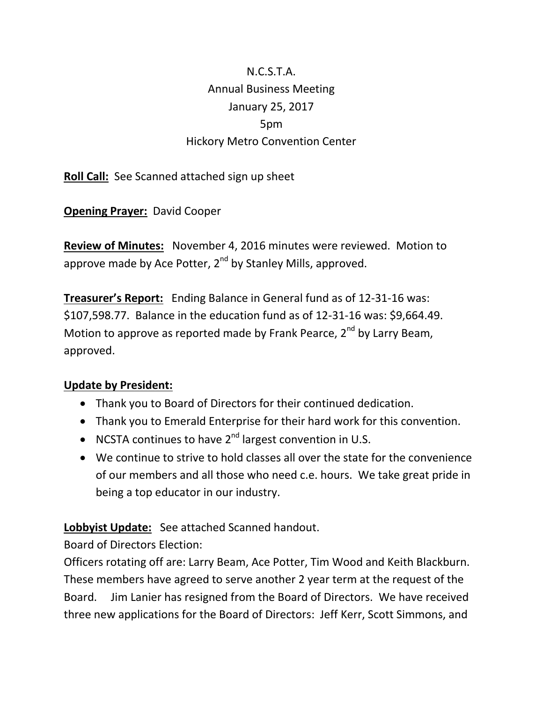## N.C.S.T.A. Annual Business Meeting January 25, 2017 5pm Hickory Metro Convention Center

**Roll Call:** See Scanned attached sign up sheet

**Opening Prayer:** David Cooper

**Review of Minutes:** November 4, 2016 minutes were reviewed. Motion to approve made by Ace Potter,  $2^{nd}$  by Stanley Mills, approved.

**Treasurer's Report:** Ending Balance in General fund as of 12-31-16 was: \$107,598.77. Balance in the education fund as of 12-31-16 was: \$9,664.49. Motion to approve as reported made by Frank Pearce,  $2^{nd}$  by Larry Beam, approved.

## **Update by President:**

- Thank you to Board of Directors for their continued dedication.
- Thank you to Emerald Enterprise for their hard work for this convention.
- NCSTA continues to have  $2^{nd}$  largest convention in U.S.
- We continue to strive to hold classes all over the state for the convenience of our members and all those who need c.e. hours. We take great pride in being a top educator in our industry.

**Lobbyist Update:** See attached Scanned handout.

Board of Directors Election:

Officers rotating off are: Larry Beam, Ace Potter, Tim Wood and Keith Blackburn. These members have agreed to serve another 2 year term at the request of the Board. Jim Lanier has resigned from the Board of Directors. We have received three new applications for the Board of Directors: Jeff Kerr, Scott Simmons, and